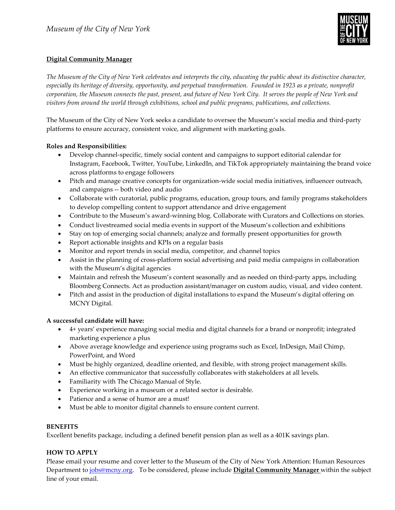

### **Digital Community Manager**

*The Museum of the City of New York celebrates and interprets the city, educating the public about its distinctive character, especially its heritage of diversity, opportunity, and perpetual transformation. Founded in 1923 as a private, nonprofit corporation, the Museum connects the past, present, and future of New York City. It serves the people of New York and visitors from around the world through exhibitions, school and public programs, publications, and collections.*

The Museum of the City of New York seeks a candidate to oversee the Museum's social media and third-party platforms to ensure accuracy, consistent voice, and alignment with marketing goals.

### **Roles and Responsibilities:**

- Develop channel-specific, timely social content and campaigns to support editorial calendar for Instagram, Facebook, Twitter, YouTube, LinkedIn, and TikTok appropriately maintaining the brand voice across platforms to engage followers
- Pitch and manage creative concepts for organization-wide social media initiatives, influencer outreach, and campaigns -- both video and audio
- Collaborate with curatorial, public programs, education, group tours, and family programs stakeholders to develop compelling content to support attendance and drive engagement
- Contribute to the Museum's award-winning blog. Collaborate with Curators and Collections on stories.
- Conduct livestreamed social media events in support of the Museum's collection and exhibitions
- Stay on top of emerging social channels; analyze and formally present opportunities for growth
- Report actionable insights and KPIs on a regular basis
- Monitor and report trends in social media, competitor, and channel topics
- Assist in the planning of cross-platform social advertising and paid media campaigns in collaboration with the Museum's digital agencies
- Maintain and refresh the Museum's content seasonally and as needed on third-party apps, including Bloomberg Connects. Act as production assistant/manager on custom audio, visual, and video content.
- Pitch and assist in the production of digital installations to expand the Museum's digital offering on MCNY Digital.

# **A successful candidate will have:**

- 4+ years' experience managing social media and digital channels for a brand or nonprofit; integrated marketing experience a plus
- Above average knowledge and experience using programs such as Excel, InDesign, Mail Chimp, PowerPoint, and Word
- Must be highly organized, deadline oriented, and flexible, with strong project management skills.
- An effective communicator that successfully collaborates with stakeholders at all levels.
- Familiarity with The Chicago Manual of Style.
- Experience working in a museum or a related sector is desirable.
- Patience and a sense of humor are a must!
- Must be able to monitor digital channels to ensure content current.

# **BENEFITS**

Excellent benefits package, including a defined benefit pension plan as well as a 401K savings plan.

# **HOW TO APPLY**

Please email your resume and cover letter to the Museum of the City of New York Attention: Human Resources Department to [jobs@mcny.org.](mailto:jobs@mcny.org) To be considered, please include **Digital Community Manager** within the subject line of your email.